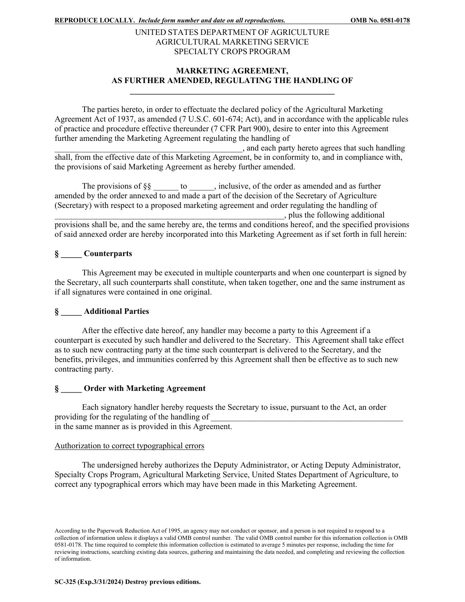## UNITED STATES DEPARTMENT OF AGRICULTURE AGRICULTURAL MARKETING SERVICE SPECIALTY CROPS PROGRAM

## **MARKETING AGREEMENT, AS FURTHER AMENDED, REGULATING THE HANDLING OF \_\_\_\_\_\_\_\_\_\_\_\_\_\_\_\_\_\_\_\_\_\_\_\_\_\_\_\_\_\_\_\_\_\_\_\_\_\_\_\_\_\_\_\_\_\_\_\_\_**

The parties hereto, in order to effectuate the declared policy of the Agricultural Marketing Agreement Act of 1937, as amended (7 U.S.C. 601-674; Act), and in accordance with the applicable rules of practice and procedure effective thereunder (7 CFR Part 900), desire to enter into this Agreement further amending the Marketing Agreement regulating the handling of

\_\_\_\_\_\_\_\_\_\_\_\_\_\_\_\_\_\_\_\_\_\_\_\_\_\_\_\_\_\_\_\_\_\_\_\_\_\_\_\_\_\_\_\_\_, and each party hereto agrees that such handling shall, from the effective date of this Marketing Agreement, be in conformity to, and in compliance with, the provisions of said Marketing Agreement as hereby further amended.

The provisions of  $\S\S$  to \_\_\_\_\_, inclusive, of the order as amended and as further amended by the order annexed to and made a part of the decision of the Secretary of Agriculture (Secretary) with respect to a proposed marketing agreement and order regulating the handling of \_\_\_\_\_\_\_\_\_\_\_\_\_\_\_\_\_\_\_\_\_\_\_\_\_\_\_\_\_\_\_\_\_\_\_\_\_\_\_\_\_\_\_\_\_\_\_\_\_\_\_\_\_\_\_, plus the following additional provisions shall be, and the same hereby are, the terms and conditions hereof, and the specified provisions of said annexed order are hereby incorporated into this Marketing Agreement as if set forth in full herein:

## **§ \_\_\_\_\_ Counterparts**

This Agreement may be executed in multiple counterparts and when one counterpart is signed by the Secretary, all such counterparts shall constitute, when taken together, one and the same instrument as if all signatures were contained in one original.

# **§ \_\_\_\_\_ Additional Parties**

After the effective date hereof, any handler may become a party to this Agreement if a counterpart is executed by such handler and delivered to the Secretary. This Agreement shall take effect as to such new contracting party at the time such counterpart is delivered to the Secretary, and the benefits, privileges, and immunities conferred by this Agreement shall then be effective as to such new contracting party.

## **§ \_\_\_\_\_ Order with Marketing Agreement**

Each signatory handler hereby requests the Secretary to issue, pursuant to the Act, an order providing for the regulating of the handling of in the same manner as is provided in this Agreement.

#### Authorization to correct typographical errors

The undersigned hereby authorizes the Deputy Administrator, or Acting Deputy Administrator, Specialty Crops Program, Agricultural Marketing Service, United States Department of Agriculture, to correct any typographical errors which may have been made in this Marketing Agreement.

According to the Paperwork Reduction Act of 1995, an agency may not conduct or sponsor, and a person is not required to respond to a collection of information unless it displays a valid OMB control number. The valid OMB control number for this information collection is OMB 0581-0178. The time required to complete this information collection is estimated to average 5 minutes per response, including the time for reviewing instructions, searching existing data sources, gathering and maintaining the data needed, and completing and reviewing the collection of information.